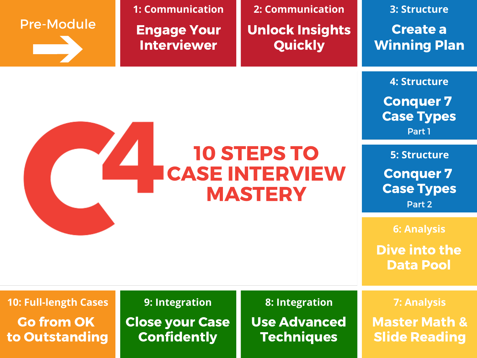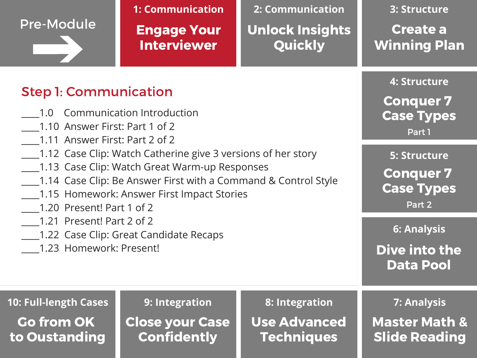| <b>Pre-Module</b>                                                                                                                                                                                                                                                                                                                                                                                 | <b>1: Communication</b> | 2: Communication       | 3: Structure                                                           |
|---------------------------------------------------------------------------------------------------------------------------------------------------------------------------------------------------------------------------------------------------------------------------------------------------------------------------------------------------------------------------------------------------|-------------------------|------------------------|------------------------------------------------------------------------|
|                                                                                                                                                                                                                                                                                                                                                                                                   | <b>Engage Your</b>      | <b>Unlock Insights</b> | <b>Create a</b>                                                        |
|                                                                                                                                                                                                                                                                                                                                                                                                   | <b>Interviewer</b>      | Quickly                | <b>Winning Plan</b>                                                    |
| <b>Step 1: Communication</b><br>1.0 Communication Introduction<br>1.10 Answer First: Part 1 of 2<br>1.11 Answer First: Part 2 of 2<br>1.12 Case Clip: Watch Catherine give 3 versions of her story<br>1.13 Case Clip: Watch Great Warm-up Responses<br>_1.14 Case Clip: Be Answer First with a Command & Control Style<br>1.15 Homework: Answer First Impact Stories<br>1.20 Present! Part 1 of 2 |                         |                        | 4: Structure<br><b>Conquer 7</b><br><b>Case Types</b><br>Part 1        |
|                                                                                                                                                                                                                                                                                                                                                                                                   |                         |                        | <b>5: Structure</b><br><b>Conquer 7</b><br><b>Case Types</b><br>Part 2 |
| 1.21 Present! Part 2 of 2                                                                                                                                                                                                                                                                                                                                                                         |                         |                        | <b>6: Analysis</b>                                                     |
| 1.22 Case Clip: Great Candidate Recaps                                                                                                                                                                                                                                                                                                                                                            |                         |                        | Dive into the                                                          |
| 1.23 Homework: Present!                                                                                                                                                                                                                                                                                                                                                                           |                         |                        | Data Pool                                                              |
| 10: Full-length Cases                                                                                                                                                                                                                                                                                                                                                                             | 9: Integration          | 8: Integration         | 7: Analysis                                                            |
| <b>Go from OK</b>                                                                                                                                                                                                                                                                                                                                                                                 | <b>Close your Case</b>  | <b>Use Advanced</b>    | <b>Master Math &amp;</b>                                               |
| to Oustanding                                                                                                                                                                                                                                                                                                                                                                                     | <b>Confidently</b>      | <b>Techniques</b>      | <b>Slide Reading</b>                                                   |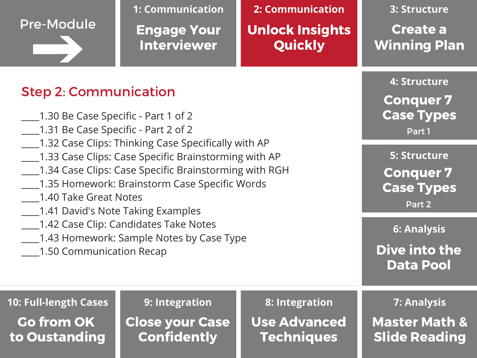| <b>Pre-Module</b>                                                                                                                                                                                                                                                                                                                                                                                              | 1: Communication       | <b>2: Communication</b> | <b>3: Structure</b>                                                    |
|----------------------------------------------------------------------------------------------------------------------------------------------------------------------------------------------------------------------------------------------------------------------------------------------------------------------------------------------------------------------------------------------------------------|------------------------|-------------------------|------------------------------------------------------------------------|
|                                                                                                                                                                                                                                                                                                                                                                                                                | <b>Engage Your</b>     | <b>Unlock Insights</b>  | <b>Create a</b>                                                        |
|                                                                                                                                                                                                                                                                                                                                                                                                                | <b>Interviewer</b>     | Quickly                 | <b>Winning Plan</b>                                                    |
| <b>Step 2: Communication</b><br>$\_1.30$ Be Case Specific - Part 1 of 2 $\,$<br>1.31 Be Case Specific - Part 2 of 2<br>1.32 Case Clips: Thinking Case Specifically with AP<br>_1.33 Case Clips: Case Specific Brainstorming with AP<br>_1.34 Case Clips: Case Specific Brainstorming with RGH<br>_1.35 Homework: Brainstorm Case Specific Words<br>1.40 Take Great Notes<br>_1.41 David's Note Taking Examples |                        |                         | 4: Structure<br><b>Conquer 7</b><br><b>Case Types</b><br>Part 1        |
|                                                                                                                                                                                                                                                                                                                                                                                                                |                        |                         | <b>5: Structure</b><br><b>Conquer 7</b><br><b>Case Types</b><br>Part 2 |
| 1.42 Case Clip: Candidates Take Notes                                                                                                                                                                                                                                                                                                                                                                          |                        |                         | <b>6: Analysis</b>                                                     |
| 1.43 Homework: Sample Notes by Case Type                                                                                                                                                                                                                                                                                                                                                                       |                        |                         | Dive into the                                                          |
| 1.50 Communication Recap                                                                                                                                                                                                                                                                                                                                                                                       |                        |                         | <b>Data Pool</b>                                                       |
| 10: Full-length Cases                                                                                                                                                                                                                                                                                                                                                                                          | 9: Integration         | 8: Integration          | <b>7: Analysis</b>                                                     |
| <b>Co</b> from OK                                                                                                                                                                                                                                                                                                                                                                                              | <b>Close your Case</b> | <b>Use Advanced</b>     | <b>Master Math &amp;</b>                                               |
| to Oustanding                                                                                                                                                                                                                                                                                                                                                                                                  | <b>Confidently</b>     | <b>Techniques</b>       | <b>Slide Reading</b>                                                   |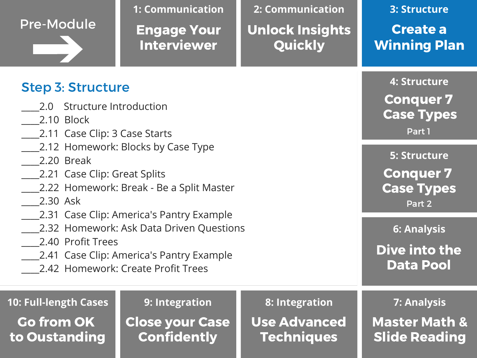| <b>Pre-Module</b>                                                                                                                               | <b>1: Communication</b><br><b>Engage Your</b><br><b>Interviewer</b>                                                          | 2: Communication<br><b>Unlock Insights</b><br>Quickly      | <b>3: Structure</b><br><b>Create a</b><br><b>Winning Plan</b>          |
|-------------------------------------------------------------------------------------------------------------------------------------------------|------------------------------------------------------------------------------------------------------------------------------|------------------------------------------------------------|------------------------------------------------------------------------|
| <b>Step 3: Structure</b><br>Structure Introduction<br>2.0<br>2.10 Block<br>_2.11 Case Clip: 3 Case Starts                                       |                                                                                                                              |                                                            | 4: Structure<br><b>Conquer 7</b><br><b>Case Types</b><br>Part 1        |
| 2.20 Break<br>_2.21 Case Clip: Great Splits<br>2.30 Ask                                                                                         | _2.12 Homework: Blocks by Case Type<br>2.22 Homework: Break - Be a Split Master<br>_2.31 Case Clip: America's Pantry Example |                                                            | <b>5: Structure</b><br><b>Conquer 7</b><br><b>Case Types</b><br>Part 2 |
| 2.32 Homework: Ask Data Driven Questions<br>2.40 Profit Trees<br>2.41 Case Clip: America's Pantry Example<br>2.42 Homework: Create Profit Trees |                                                                                                                              |                                                            | <b>6: Analysis</b><br>Dive into the<br><b>Data Pool</b>                |
| 10: Full-length Cases<br><b>Go from OK</b><br>to Oustanding                                                                                     | 9: Integration<br><b>Close your Case</b><br><b>Confidently</b>                                                               | 8: Integration<br><b>Use Advanced</b><br><b>Techniques</b> | 7: Analysis<br><b>Master Math &amp;</b><br><b>Slide Reading</b>        |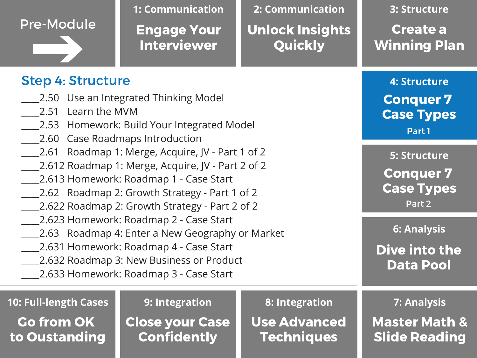| Pre-Module                                                                                                                                                                                                                                         | 1: Communication<br><b>Engage Your</b><br><b>Interviewer</b>   | 2: Communication<br><b>Unlock Insights</b><br>Quickly             | 3: Structure<br><b>Create a</b><br><b>Winning Plan</b>                 |
|----------------------------------------------------------------------------------------------------------------------------------------------------------------------------------------------------------------------------------------------------|----------------------------------------------------------------|-------------------------------------------------------------------|------------------------------------------------------------------------|
| <b>Step 4: Structure</b><br>2.50 Use an Integrated Thinking Model<br>Learn the MVM<br>2.51<br>2.53 Homework: Build Your Integrated Model<br><b>Case Roadmaps Introduction</b><br>2.60                                                              |                                                                |                                                                   | 4: Structure<br><b>Conquer 7</b><br><b>Case Types</b><br>Part 1        |
| 2.61 Roadmap 1: Merge, Acquire, JV - Part 1 of 2<br>2.612 Roadmap 1: Merge, Acquire, JV - Part 2 of 2<br>2.613 Homework: Roadmap 1 - Case Start<br>2.62 Roadmap 2: Growth Strategy - Part 1 of 2<br>2.622 Roadmap 2: Growth Strategy - Part 2 of 2 |                                                                |                                                                   | <b>5: Structure</b><br><b>Conquer 7</b><br><b>Case Types</b><br>Part 2 |
| 2.623 Homework: Roadmap 2 - Case Start<br>2.63 Roadmap 4: Enter a New Geography or Market<br>2.631 Homework: Roadmap 4 - Case Start<br>2.632 Roadmap 3: New Business or Product<br>2.633 Homework: Roadmap 3 - Case Start                          |                                                                |                                                                   | <b>6: Analysis</b><br>Dive into the<br><b>Data Pool</b>                |
| 10: Full-length Cases<br><b>Go from OK</b><br>to Oustanding                                                                                                                                                                                        | 9: Integration<br><b>Close your Case</b><br><b>Confidently</b> | <b>8: Integration</b><br><b>Use Advanced</b><br><b>Techniques</b> | 7: Analysis<br><b>Master Math &amp;</b><br><b>Slide Reading</b>        |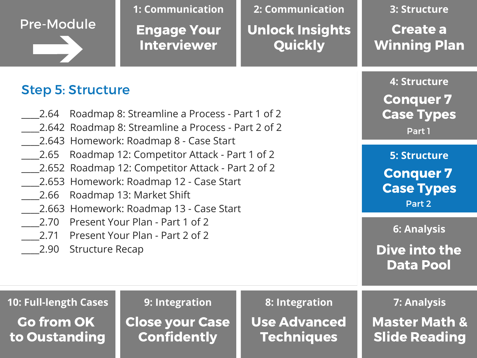## Pre-Module **1: Communication** Engage Your Interviewer **2: Communication Quickly**

## Step 5: Structure

- \_\_\_\_2.64 Roadmap 8: Streamline a Process Part 1 of 2
- \_\_\_\_2.642 Roadmap 8: Streamline a Process Part 2 of 2
- 2.643 Homework: Roadmap 8 Case Start
- \_\_\_\_2.65 Roadmap 12: Competitor Attack Part 1 of 2
- \_\_\_\_2.652 Roadmap 12: Competitor Attack Part 2 of 2
- 2.653 Homework: Roadmap 12 Case Start
- \_\_\_\_2.66 Roadmap 13: Market Shift
- 2.663 Homework: Roadmap 13 Case Start
- 2.70 Present Your Plan Part 1 of 2
- 2.71 Present Your Plan Part 2 of 2
- \_\_\_\_2.90 Structure Recap

Unlock Insights

**3: Structure** Create a Winning Plan

**4: Structure** Conquer 7 Case Types Part 1

**5: Structure** Conquer 7 Case Types Part 2

**6: Analysis** Dive into the Data Pool

**10: Full-length Cases 9: Integration 8: Integration 7: Analysis**

Go from OK to Oustanding

Close your Case **Confidently** 

Use Advanced **Techniques** 

Master Math & Slide Reading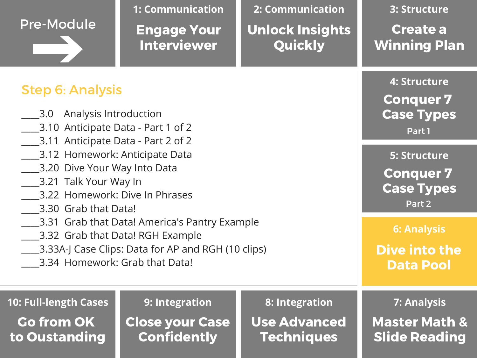|                                                                                                                                                                                             | <b>1: Communication</b>                                        | 2: Communication                                           | 3: Structure                                                           |
|---------------------------------------------------------------------------------------------------------------------------------------------------------------------------------------------|----------------------------------------------------------------|------------------------------------------------------------|------------------------------------------------------------------------|
| <b>Pre-Module</b>                                                                                                                                                                           | <b>Engage Your</b><br><b>Interviewer</b>                       | <b>Unlock Insights</b><br>Quickly                          | <b>Create a</b><br><b>Winning Plan</b>                                 |
| <b>Step 6: Analysis</b><br>Analysis Introduction<br>3.0<br>__3.10 Anticipate Data - Part 1 of 2                                                                                             |                                                                |                                                            | 4: Structure<br><b>Conquer 7</b><br><b>Case Types</b><br>Part 1        |
| __3.11 Anticipate Data - Part 2 of 2<br>__3.12 Homework: Anticipate Data<br>3.20 Dive Your Way Into Data<br>3.21 Talk Your Way In<br>3.22 Homework: Dive In Phrases<br>3.30 Grab that Data! |                                                                |                                                            | <b>5: Structure</b><br><b>Conquer 7</b><br><b>Case Types</b><br>Part 2 |
| _3.31 Grab that Data! America's Pantry Example<br>_3.32 Grab that Data! RGH Example<br>__3.33A-J Case Clips: Data for AP and RGH (10 clips)<br>3.34 Homework: Grab that Data!               |                                                                |                                                            | <b>6: Analysis</b><br>Dive into the<br><b>Data Pool</b>                |
| 10: Full-length Cases<br><b>Go from OK</b><br>to Oustanding                                                                                                                                 | 9: Integration<br><b>Close your Case</b><br><b>Confidently</b> | 8: Integration<br><b>Use Advanced</b><br><b>Techniques</b> | <b>7: Analysis</b><br><b>Master Math &amp;</b><br><b>Slide Reading</b> |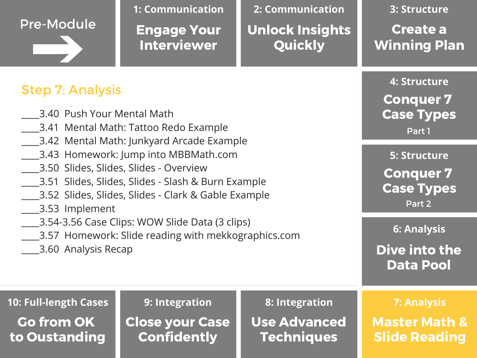|                                                                                                                                                                                                                                                                                                                                                                   | <b>1: Communication</b> | 2: Communication       | 3: Structure                                                           |
|-------------------------------------------------------------------------------------------------------------------------------------------------------------------------------------------------------------------------------------------------------------------------------------------------------------------------------------------------------------------|-------------------------|------------------------|------------------------------------------------------------------------|
| <b>Pre-Module</b>                                                                                                                                                                                                                                                                                                                                                 | <b>Engage Your</b>      | <b>Unlock Insights</b> | <b>Create a</b>                                                        |
|                                                                                                                                                                                                                                                                                                                                                                   | <b>Interviewer</b>      | Quickly                | <b>Winning Plan</b>                                                    |
| <b>Step 7: Analysis</b><br>3.40 Push Your Mental Math<br>_3.41  Mental Math: Tattoo Redo Example<br>_3.42 Mental Math: Junkyard Arcade Example<br>_3.43 Homework: Jump into MBBMath.com<br>3.50 Slides, Slides, Slides - Overview<br>_3.51 Slides, Slides, Slides - Slash & Burn Example<br>3.52 Slides, Slides, Slides - Clark & Gable Example<br>3.53 Implement |                         |                        | 4: Structure<br><b>Conquer 7</b><br><b>Case Types</b><br>Part 1        |
|                                                                                                                                                                                                                                                                                                                                                                   |                         |                        | <b>5: Structure</b><br><b>Conquer 7</b><br><b>Case Types</b><br>Part 2 |
| 3.54-3.56 Case Clips: WOW Slide Data (3 clips)                                                                                                                                                                                                                                                                                                                    |                         |                        | <b>6: Analysis</b>                                                     |
| 3.57 Homework: Slide reading with mekkographics.com                                                                                                                                                                                                                                                                                                               |                         |                        | Dive into the                                                          |
| 3.60 Analysis Recap                                                                                                                                                                                                                                                                                                                                               |                         |                        | <b>Data Pool</b>                                                       |
| 10: Full-length Cases                                                                                                                                                                                                                                                                                                                                             | 9: Integration          | 8: Integration         | <b>7: Analysis</b>                                                     |
| <b>Go from OK</b>                                                                                                                                                                                                                                                                                                                                                 | <b>Close your Case</b>  | <b>Use Advanced</b>    | <b>Master Math &amp;</b>                                               |
| to Oustanding                                                                                                                                                                                                                                                                                                                                                     | <b>Confidently</b>      | <b>Techniques</b>      | <b>Slide Reading</b>                                                   |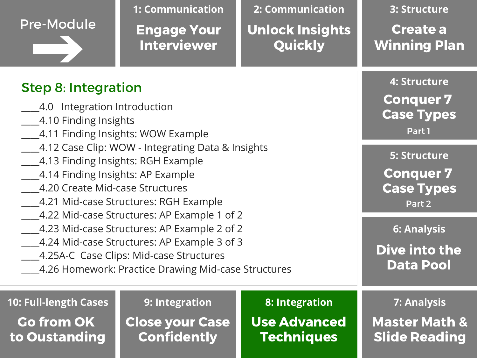|                                                                                                                                                                                                                                              | 1: Communication       | 2: Communication       | 3: Structure                                                           |
|----------------------------------------------------------------------------------------------------------------------------------------------------------------------------------------------------------------------------------------------|------------------------|------------------------|------------------------------------------------------------------------|
| <b>Pre-Module</b>                                                                                                                                                                                                                            | <b>Engage Your</b>     | <b>Unlock Insights</b> | <b>Create a</b>                                                        |
|                                                                                                                                                                                                                                              | <b>Interviewer</b>     | Quickly                | <b>Winning Plan</b>                                                    |
| <b>Step 8: Integration</b>                                                                                                                                                                                                                   |                        |                        | 4: Structure                                                           |
| _4.0 Integration Introduction                                                                                                                                                                                                                |                        |                        | <b>Conquer 7</b>                                                       |
| 4.10 Finding Insights                                                                                                                                                                                                                        |                        |                        | <b>Case Types</b>                                                      |
| 4.11 Finding Insights: WOW Example                                                                                                                                                                                                           |                        |                        | Part 1                                                                 |
| _4.12 Case Clip: WOW - Integrating Data & Insights<br>4.13 Finding Insights: RGH Example<br>4.14 Finding Insights: AP Example<br>4.20 Create Mid-case Structures<br>_4.21 Mid-case Structures: RGH Example                                   |                        |                        | <b>5: Structure</b><br><b>Conquer 7</b><br><b>Case Types</b><br>Part 2 |
| _4.22 Mid-case Structures: AP Example 1 of 2<br>4.23 Mid-case Structures: AP Example 2 of 2<br>4.24 Mid-case Structures: AP Example 3 of 3<br>4.25A-C Case Clips: Mid-case Structures<br>4.26 Homework: Practice Drawing Mid-case Structures |                        |                        | <b>6: Analysis</b><br>Dive into the<br><b>Data Pool</b>                |
| 10: Full-length Cases                                                                                                                                                                                                                        | 9: Integration         | 8: Integration         | <b>7: Analysis</b>                                                     |
| <b>Go from OK</b>                                                                                                                                                                                                                            | <b>Close your Case</b> | <b>Use Advanced</b>    | <b>Master Math &amp;</b>                                               |
| to Oustanding                                                                                                                                                                                                                                | <b>Confidently</b>     | <b>Techniques</b>      | <b>Slide Reading</b>                                                   |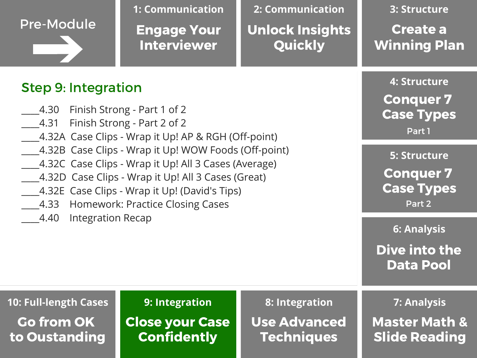| <b>1: Communication</b><br>2: Communication                                                                                                                                                                                                                                                                                                                                                                                                                                    |                                                                |                                                            | 3: Structure                                                           |
|--------------------------------------------------------------------------------------------------------------------------------------------------------------------------------------------------------------------------------------------------------------------------------------------------------------------------------------------------------------------------------------------------------------------------------------------------------------------------------|----------------------------------------------------------------|------------------------------------------------------------|------------------------------------------------------------------------|
| <b>Pre-Module</b>                                                                                                                                                                                                                                                                                                                                                                                                                                                              | <b>Engage Your</b><br><b>Interviewer</b>                       | <b>Unlock Insights</b><br>Quickly                          | <b>Create a</b><br><b>Winning Plan</b>                                 |
| <b>Step 9: Integration</b><br>Finish Strong - Part 1 of 2<br>4.30<br>Finish Strong - Part 2 of 2<br>4.31<br>_4.32A Case Clips - Wrap it Up! AP & RGH (Off-point)<br>4.32B Case Clips - Wrap it Up! WOW Foods (Off-point)<br>4.32C Case Clips - Wrap it Up! All 3 Cases (Average)<br>4.32D Case Clips - Wrap it Up! All 3 Cases (Great)<br>4.32E Case Clips - Wrap it Up! (David's Tips)<br><b>Homework: Practice Closing Cases</b><br>4.33<br>4.40<br><b>Integration Recap</b> |                                                                |                                                            | 4: Structure<br><b>Conquer 7</b><br><b>Case Types</b><br>Part 1        |
|                                                                                                                                                                                                                                                                                                                                                                                                                                                                                |                                                                |                                                            | <b>5: Structure</b><br><b>Conquer 7</b><br><b>Case Types</b><br>Part 2 |
|                                                                                                                                                                                                                                                                                                                                                                                                                                                                                |                                                                |                                                            | <b>6: Analysis</b><br>Dive into the<br><b>Data Pool</b>                |
| 10: Full-length Cases<br><b>Go from OK</b><br>to Oustanding                                                                                                                                                                                                                                                                                                                                                                                                                    | 9: Integration<br><b>Close your Case</b><br><b>Confidently</b> | 8: Integration<br><b>Use Advanced</b><br><b>Techniques</b> | 7: Analysis<br><b>Master Math &amp;</b><br><b>Slide Reading</b>        |